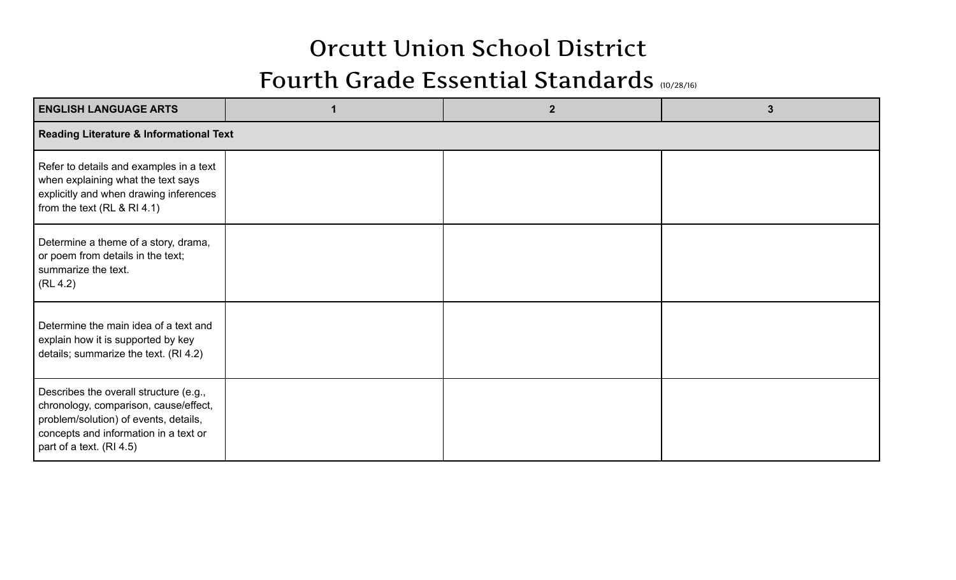## Orcutt Union School District

## Fourth Grade Essential Standards (10/28/16)

| <b>ENGLISH LANGUAGE ARTS</b>                                                                                                                                                                  |  | $\overline{2}$ | 3 |  |  |  |
|-----------------------------------------------------------------------------------------------------------------------------------------------------------------------------------------------|--|----------------|---|--|--|--|
| <b>Reading Literature &amp; Informational Text</b>                                                                                                                                            |  |                |   |  |  |  |
| Refer to details and examples in a text<br>when explaining what the text says<br>explicitly and when drawing inferences<br>from the text (RL $&$ RI 4.1)                                      |  |                |   |  |  |  |
| Determine a theme of a story, drama,<br>or poem from details in the text;<br>summarize the text.<br>(RL 4.2)                                                                                  |  |                |   |  |  |  |
| Determine the main idea of a text and<br>explain how it is supported by key<br>details; summarize the text. (RI 4.2)                                                                          |  |                |   |  |  |  |
| Describes the overall structure (e.g.,<br>chronology, comparison, cause/effect,<br>problem/solution) of events, details,<br>concepts and information in a text or<br>part of a text. (RI 4.5) |  |                |   |  |  |  |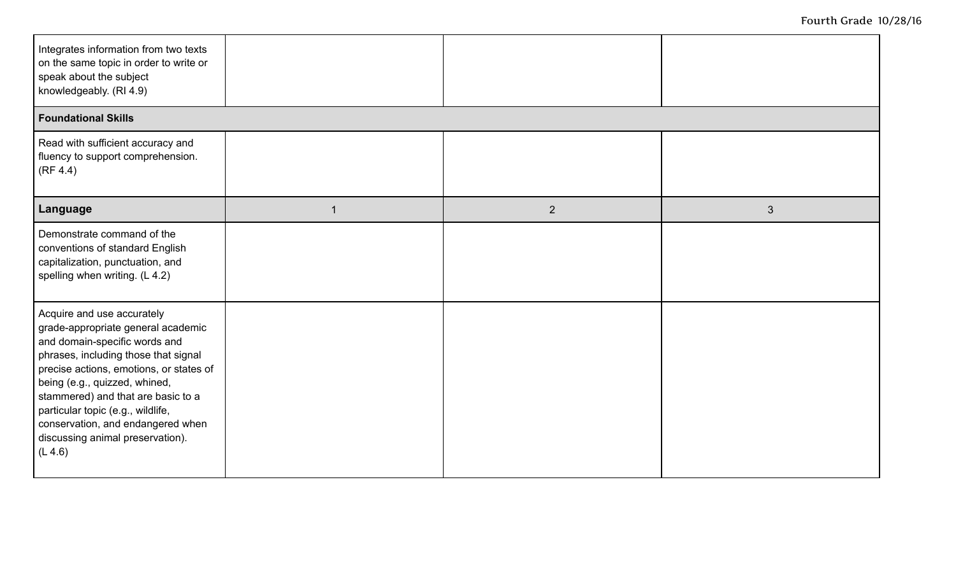| Integrates information from two texts<br>on the same topic in order to write or<br>speak about the subject<br>knowledgeably. (RI 4.9)                                                                                                                                                                                                                                                |             |             |   |  |  |  |
|--------------------------------------------------------------------------------------------------------------------------------------------------------------------------------------------------------------------------------------------------------------------------------------------------------------------------------------------------------------------------------------|-------------|-------------|---|--|--|--|
| <b>Foundational Skills</b>                                                                                                                                                                                                                                                                                                                                                           |             |             |   |  |  |  |
| Read with sufficient accuracy and<br>fluency to support comprehension.<br>(RF 4.4)                                                                                                                                                                                                                                                                                                   |             |             |   |  |  |  |
| Language                                                                                                                                                                                                                                                                                                                                                                             | $\mathbf 1$ | $2^{\circ}$ | 3 |  |  |  |
| Demonstrate command of the<br>conventions of standard English<br>capitalization, punctuation, and<br>spelling when writing. (L 4.2)                                                                                                                                                                                                                                                  |             |             |   |  |  |  |
| Acquire and use accurately<br>grade-appropriate general academic<br>and domain-specific words and<br>phrases, including those that signal<br>precise actions, emotions, or states of<br>being (e.g., quizzed, whined,<br>stammered) and that are basic to a<br>particular topic (e.g., wildlife,<br>conservation, and endangered when<br>discussing animal preservation).<br>(L 4.6) |             |             |   |  |  |  |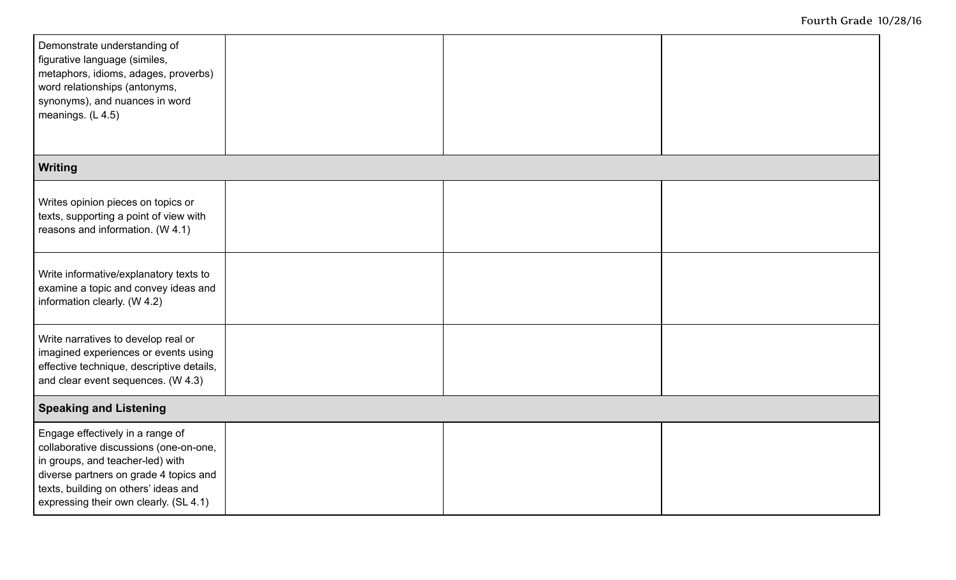| Demonstrate understanding of<br>figurative language (similes,<br>metaphors, idioms, adages, proverbs)<br>word relationships (antonyms,<br>synonyms), and nuances in word<br>meanings. (L 4.5)                                              |  |  |  |  |  |  |
|--------------------------------------------------------------------------------------------------------------------------------------------------------------------------------------------------------------------------------------------|--|--|--|--|--|--|
| <b>Writing</b>                                                                                                                                                                                                                             |  |  |  |  |  |  |
| Writes opinion pieces on topics or<br>texts, supporting a point of view with<br>reasons and information. (W 4.1)                                                                                                                           |  |  |  |  |  |  |
| Write informative/explanatory texts to<br>examine a topic and convey ideas and<br>information clearly. (W 4.2)                                                                                                                             |  |  |  |  |  |  |
| Write narratives to develop real or<br>imagined experiences or events using<br>effective technique, descriptive details,<br>and clear event sequences. (W 4.3)                                                                             |  |  |  |  |  |  |
| <b>Speaking and Listening</b>                                                                                                                                                                                                              |  |  |  |  |  |  |
| Engage effectively in a range of<br>collaborative discussions (one-on-one,<br>in groups, and teacher-led) with<br>diverse partners on grade 4 topics and<br>texts, building on others' ideas and<br>expressing their own clearly. (SL 4.1) |  |  |  |  |  |  |